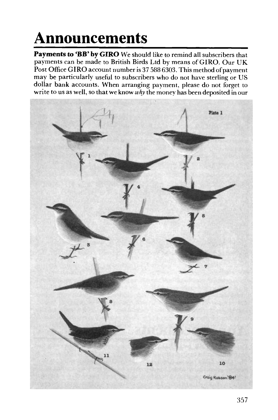## **Announcements**

**Payments to 'BB' by GIRO** We should like to remind all subscribers that payments can be made to British Birds Ltd by means of GIRO. Our UK Post Office GIRO account number is 37 588 6303. This method of payment may be particularly useful to subscribers who do not have sterling or US dollar bank accounts. When arranging payment, please do not forget to write to us as well, so that we know *why* the money has been deposited in our